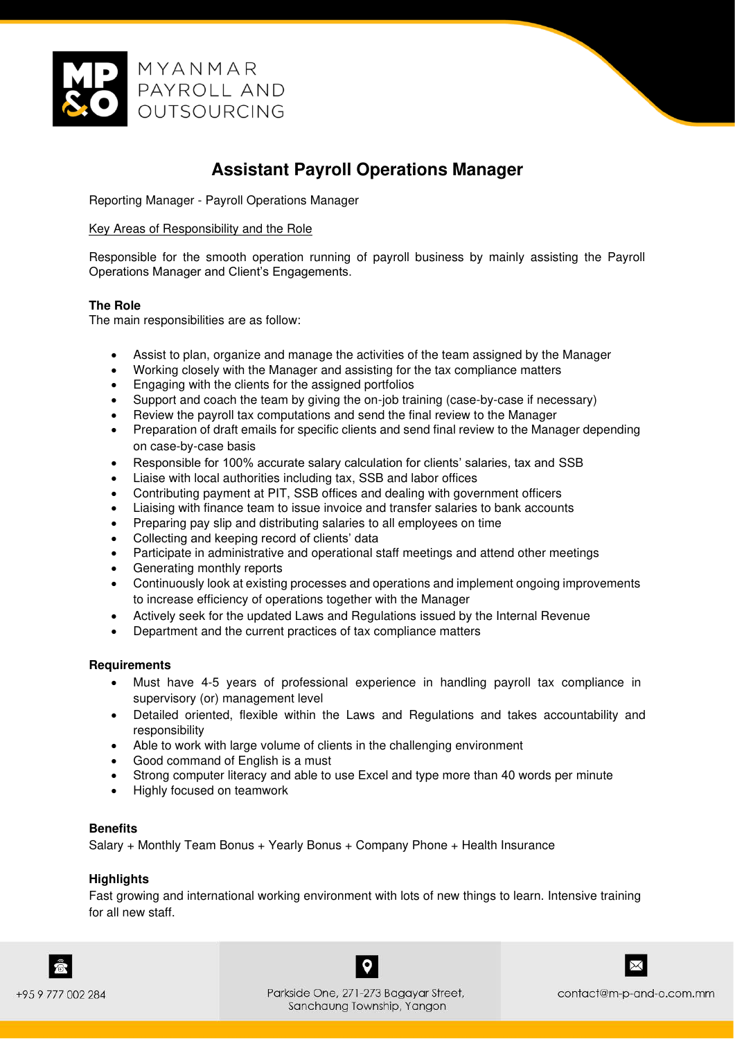

# **Assistant Payroll Operations Manager**

Reporting Manager - Payroll Operations Manager

## Key Areas of Responsibility and the Role

Responsible for the smooth operation running of payroll business by mainly assisting the Payroll Operations Manager and Client's Engagements.

## **The Role**

The main responsibilities are as follow:

- Assist to plan, organize and manage the activities of the team assigned by the Manager
- Working closely with the Manager and assisting for the tax compliance matters
- Engaging with the clients for the assigned portfolios
- Support and coach the team by giving the on-job training (case-by-case if necessary)
- Review the payroll tax computations and send the final review to the Manager
- Preparation of draft emails for specific clients and send final review to the Manager depending on case-by-case basis
- Responsible for 100% accurate salary calculation for clients' salaries, tax and SSB
- Liaise with local authorities including tax, SSB and labor offices
- Contributing payment at PIT, SSB offices and dealing with government officers
- Liaising with finance team to issue invoice and transfer salaries to bank accounts
- Preparing pay slip and distributing salaries to all employees on time
- Collecting and keeping record of clients' data
- Participate in administrative and operational staff meetings and attend other meetings
- Generating monthly reports
- Continuously look at existing processes and operations and implement ongoing improvements to increase efficiency of operations together with the Manager
- Actively seek for the updated Laws and Regulations issued by the Internal Revenue
- Department and the current practices of tax compliance matters

#### **Requirements**

- Must have 4-5 years of professional experience in handling payroll tax compliance in supervisory (or) management level
- Detailed oriented, flexible within the Laws and Regulations and takes accountability and responsibility
- Able to work with large volume of clients in the challenging environment
- Good command of English is a must
- Strong computer literacy and able to use Excel and type more than 40 words per minute
- Highly focused on teamwork

#### **Benefits**

Salary + Monthly Team Bonus + Yearly Bonus + Company Phone + Health Insurance

# **Highlights**

Fast growing and international working environment with lots of new things to learn. Intensive training for all new staff.